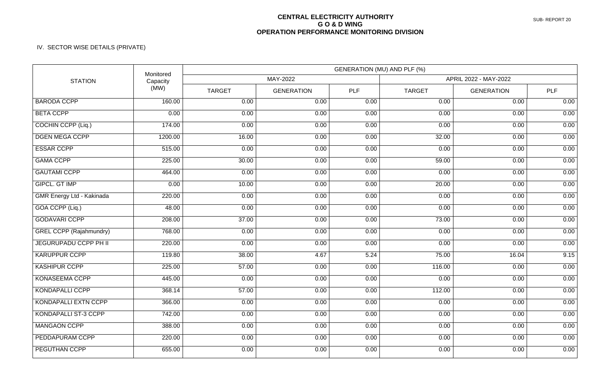## **CENTRAL ELECTRICITY AUTHORITY G O & D WING OPERATION PERFORMANCE MONITORING DIVISION**

## IV. SECTOR WISE DETAILS (PRIVATE)

| <b>STATION</b>                   | Monitored<br>Capacity<br>(MW) | GENERATION (MU) AND PLF (%) |                   |            |                       |                   |            |  |
|----------------------------------|-------------------------------|-----------------------------|-------------------|------------|-----------------------|-------------------|------------|--|
|                                  |                               | MAY-2022                    |                   |            | APRIL 2022 - MAY-2022 |                   |            |  |
|                                  |                               | <b>TARGET</b>               | <b>GENERATION</b> | <b>PLF</b> | <b>TARGET</b>         | <b>GENERATION</b> | <b>PLF</b> |  |
| <b>BARODA CCPP</b>               | 160.00                        | 0.00                        | 0.00              | 0.00       | 0.00                  | 0.00              | 0.00       |  |
| <b>BETA CCPP</b>                 | 0.00                          | 0.00                        | 0.00              | 0.00       | 0.00                  | 0.00              | 0.00       |  |
| <b>COCHIN CCPP (Liq.)</b>        | 174.00                        | 0.00                        | 0.00              | 0.00       | 0.00                  | 0.00              | 0.00       |  |
| <b>DGEN MEGA CCPP</b>            | 1200.00                       | 16.00                       | 0.00              | 0.00       | 32.00                 | 0.00              | 0.00       |  |
| <b>ESSAR CCPP</b>                | 515.00                        | 0.00                        | 0.00              | 0.00       | 0.00                  | 0.00              | 0.00       |  |
| <b>GAMA CCPP</b>                 | 225.00                        | 30.00                       | 0.00              | 0.00       | 59.00                 | 0.00              | 0.00       |  |
| <b>GAUTAMI CCPP</b>              | 464.00                        | 0.00                        | 0.00              | 0.00       | 0.00                  | 0.00              | 0.00       |  |
| <b>GIPCL. GT IMP</b>             | 0.00                          | 10.00                       | 0.00              | 0.00       | 20.00                 | 0.00              | 0.00       |  |
| <b>GMR Energy Ltd - Kakinada</b> | 220.00                        | 0.00                        | 0.00              | 0.00       | 0.00                  | 0.00              | 0.00       |  |
| GOA CCPP (Liq.)                  | 48.00                         | 0.00                        | 0.00              | 0.00       | 0.00                  | 0.00              | 0.00       |  |
| <b>GODAVARI CCPP</b>             | 208.00                        | 37.00                       | 0.00              | 0.00       | 73.00                 | 0.00              | 0.00       |  |
| <b>GREL CCPP (Rajahmundry)</b>   | 768.00                        | 0.00                        | 0.00              | 0.00       | 0.00                  | 0.00              | 0.00       |  |
| <b>JEGURUPADU CCPP PH II</b>     | 220.00                        | 0.00                        | 0.00              | 0.00       | 0.00                  | 0.00              | 0.00       |  |
| <b>KARUPPUR CCPP</b>             | 119.80                        | 38.00                       | 4.67              | 5.24       | 75.00                 | 16.04             | 9.15       |  |
| <b>KASHIPUR CCPP</b>             | 225.00                        | 57.00                       | 0.00              | 0.00       | 116.00                | 0.00              | 0.00       |  |
| <b>KONASEEMA CCPP</b>            | 445.00                        | 0.00                        | 0.00              | 0.00       | 0.00                  | 0.00              | 0.00       |  |
| <b>KONDAPALLI CCPP</b>           | 368.14                        | 57.00                       | 0.00              | 0.00       | 112.00                | 0.00              | 0.00       |  |
| <b>KONDAPALLI EXTN CCPP</b>      | 366.00                        | 0.00                        | 0.00              | 0.00       | 0.00                  | 0.00              | 0.00       |  |
| <b>KONDAPALLI ST-3 CCPP</b>      | 742.00                        | 0.00                        | 0.00              | 0.00       | 0.00                  | 0.00              | 0.00       |  |
| <b>MANGAON CCPP</b>              | 388.00                        | 0.00                        | 0.00              | 0.00       | 0.00                  | 0.00              | 0.00       |  |
| PEDDAPURAM CCPP                  | 220.00                        | 0.00                        | 0.00              | 0.00       | 0.00                  | 0.00              | 0.00       |  |
| PEGUTHAN CCPP                    | 655.00                        | 0.00                        | 0.00              | 0.00       | 0.00                  | 0.00              | 0.00       |  |